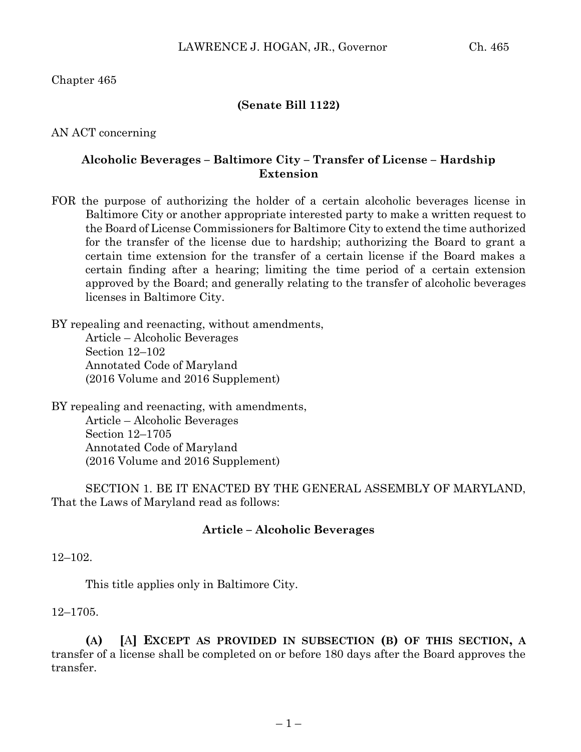Chapter 465

## **(Senate Bill 1122)**

AN ACT concerning

## **Alcoholic Beverages – Baltimore City – Transfer of License – Hardship Extension**

FOR the purpose of authorizing the holder of a certain alcoholic beverages license in Baltimore City or another appropriate interested party to make a written request to the Board of License Commissioners for Baltimore City to extend the time authorized for the transfer of the license due to hardship; authorizing the Board to grant a certain time extension for the transfer of a certain license if the Board makes a certain finding after a hearing; limiting the time period of a certain extension approved by the Board; and generally relating to the transfer of alcoholic beverages licenses in Baltimore City.

BY repealing and reenacting, without amendments, Article – Alcoholic Beverages Section 12–102 Annotated Code of Maryland (2016 Volume and 2016 Supplement)

BY repealing and reenacting, with amendments, Article – Alcoholic Beverages Section 12–1705 Annotated Code of Maryland (2016 Volume and 2016 Supplement)

SECTION 1. BE IT ENACTED BY THE GENERAL ASSEMBLY OF MARYLAND, That the Laws of Maryland read as follows:

## **Article – Alcoholic Beverages**

12–102.

This title applies only in Baltimore City.

## 12–1705.

**(A) [**A**] EXCEPT AS PROVIDED IN SUBSECTION (B) OF THIS SECTION, A** transfer of a license shall be completed on or before 180 days after the Board approves the transfer.